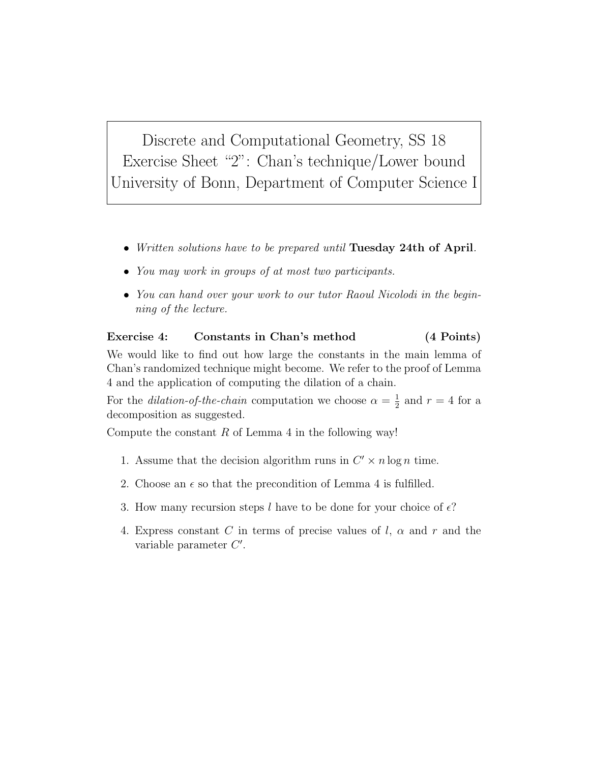Discrete and Computational Geometry, SS 18 Exercise Sheet "2": Chan's technique/Lower bound University of Bonn, Department of Computer Science I

- Written solutions have to be prepared until Tuesday 24th of April.
- You may work in groups of at most two participants.
- You can hand over your work to our tutor Raoul Nicolodi in the beginning of the lecture.

## Exercise 4: Constants in Chan's method (4 Points)

We would like to find out how large the constants in the main lemma of Chan's randomized technique might become. We refer to the proof of Lemma 4 and the application of computing the dilation of a chain.

For the *dilation-of-the-chain* computation we choose  $\alpha = \frac{1}{2}$  $\frac{1}{2}$  and  $r = 4$  for a decomposition as suggested.

Compute the constant  $R$  of Lemma 4 in the following way!

- 1. Assume that the decision algorithm runs in  $C' \times n \log n$  time.
- 2. Choose an  $\epsilon$  so that the precondition of Lemma 4 is fulfilled.
- 3. How many recursion steps l have to be done for your choice of  $\epsilon$ ?
- 4. Express constant C in terms of precise values of l,  $\alpha$  and r and the variable parameter  $C'$ .